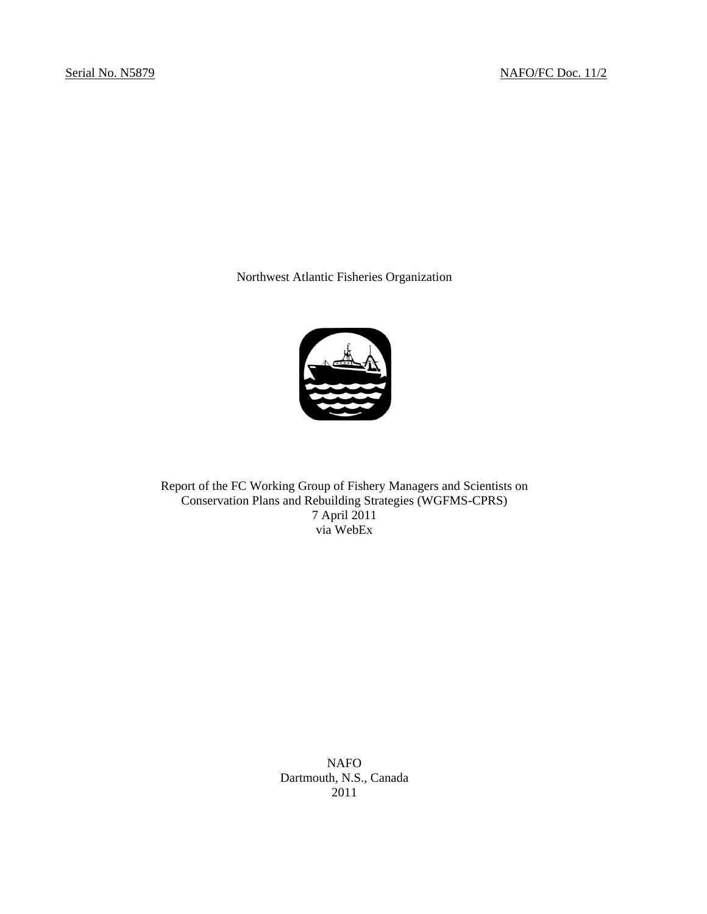Northwest Atlantic Fisheries Organization



Report of the FC Working Group of Fishery Managers and Scientists on Conservation Plans and Rebuilding Strategies (WGFMS-CPRS) 7 April 2011 via WebEx

> NAFO Dartmouth, N.S., Canada 2011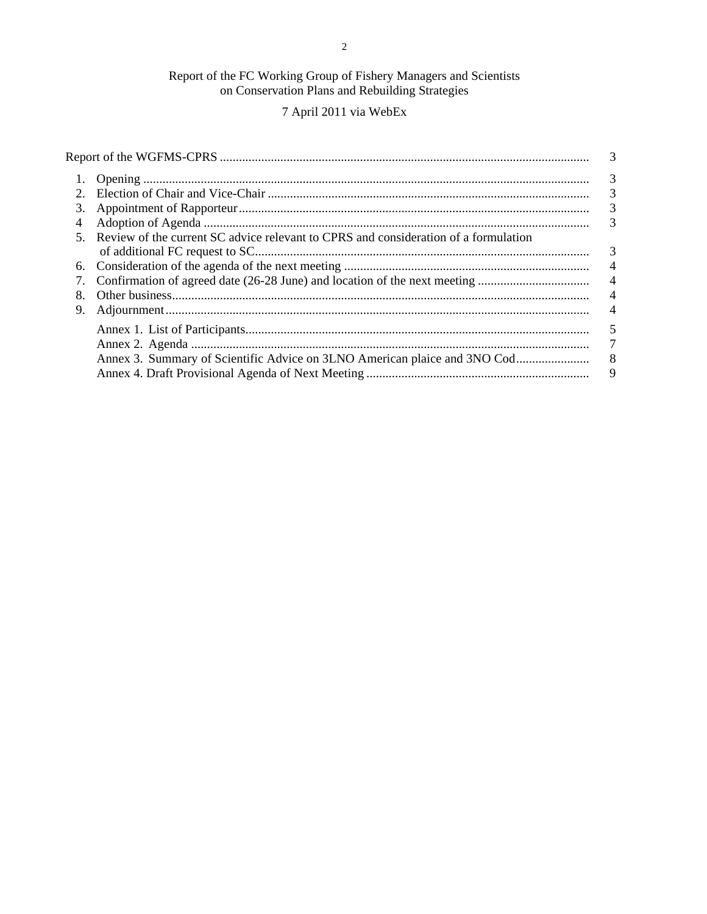# Report of the FC Working Group of Fishery Managers and Scientists<br>on Conservation Plans and Rebuilding Strategies

# 7 April 2011 via WebEx

|                                                                                                       |                | 3                        |
|-------------------------------------------------------------------------------------------------------|----------------|--------------------------|
|                                                                                                       |                | 3                        |
|                                                                                                       |                | $\overline{3}$           |
| 3.                                                                                                    |                | 3                        |
| 4                                                                                                     |                | 3                        |
| Review of the current SC advice relevant to CPRS and consideration of a formulation<br>5 <sup>7</sup> |                |                          |
|                                                                                                       |                | 3                        |
| 6.                                                                                                    |                | $\overline{\phantom{0}}$ |
|                                                                                                       | $\overline{4}$ |                          |
| 8.                                                                                                    |                |                          |
| 9.                                                                                                    |                | $\overline{4}$           |
|                                                                                                       |                | 5                        |
|                                                                                                       |                | 7                        |
|                                                                                                       |                | - 8                      |
|                                                                                                       |                | 9                        |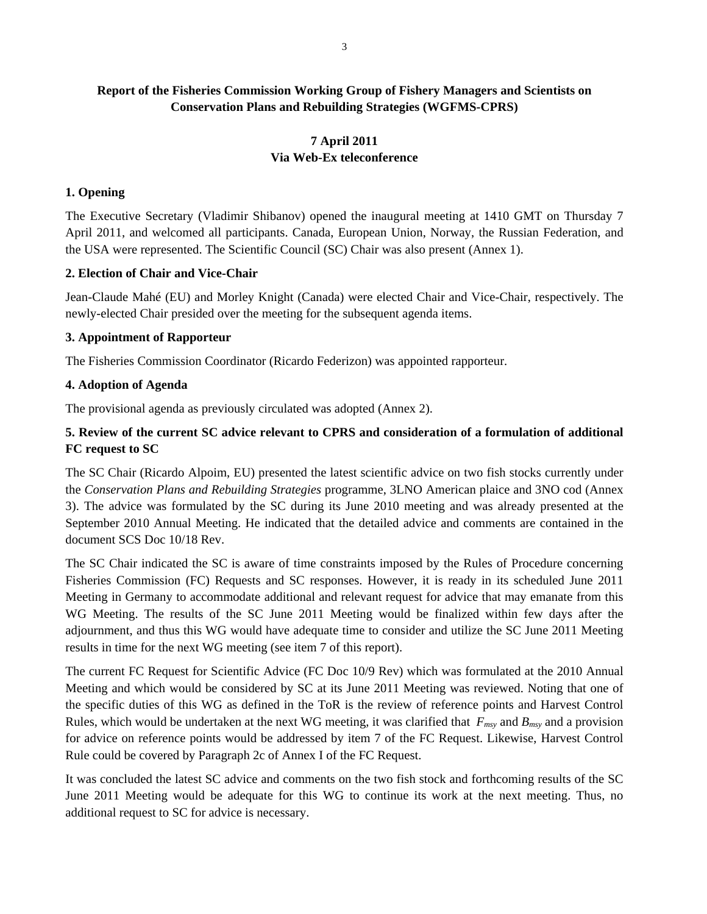# **Report of the Fisheries Commission Working Group of Fishery Managers and Scientists on Conservation Plans and Rebuilding Strategies (WGFMS-CPRS)**

# **7 April 2011 Via Web-Ex teleconference**

# **1. Opening**

The Executive Secretary (Vladimir Shibanov) opened the inaugural meeting at 1410 GMT on Thursday 7 April 2011, and welcomed all participants. Canada, European Union, Norway, the Russian Federation, and the USA were represented. The Scientific Council (SC) Chair was also present (Annex 1).

# **2. Election of Chair and Vice-Chair**

Jean-Claude Mahé (EU) and Morley Knight (Canada) were elected Chair and Vice-Chair, respectively. The newly-elected Chair presided over the meeting for the subsequent agenda items.

# **3. Appointment of Rapporteur**

The Fisheries Commission Coordinator (Ricardo Federizon) was appointed rapporteur.

# **4. Adoption of Agenda**

The provisional agenda as previously circulated was adopted (Annex 2).

# **5. Review of the current SC advice relevant to CPRS and consideration of a formulation of additional FC request to SC**

The SC Chair (Ricardo Alpoim, EU) presented the latest scientific advice on two fish stocks currently under the *Conservation Plans and Rebuilding Strategies* programme, 3LNO American plaice and 3NO cod (Annex 3). The advice was formulated by the SC during its June 2010 meeting and was already presented at the September 2010 Annual Meeting. He indicated that the detailed advice and comments are contained in the document SCS Doc 10/18 Rev.

The SC Chair indicated the SC is aware of time constraints imposed by the Rules of Procedure concerning Fisheries Commission (FC) Requests and SC responses. However, it is ready in its scheduled June 2011 Meeting in Germany to accommodate additional and relevant request for advice that may emanate from this WG Meeting. The results of the SC June 2011 Meeting would be finalized within few days after the adjournment, and thus this WG would have adequate time to consider and utilize the SC June 2011 Meeting results in time for the next WG meeting (see item 7 of this report).

The current FC Request for Scientific Advice (FC Doc 10/9 Rev) which was formulated at the 2010 Annual Meeting and which would be considered by SC at its June 2011 Meeting was reviewed. Noting that one of the specific duties of this WG as defined in the ToR is the review of reference points and Harvest Control Rules, which would be undertaken at the next WG meeting, it was clarified that  $F_{msy}$  and  $B_{msy}$  and a provision for advice on reference points would be addressed by item 7 of the FC Request. Likewise, Harvest Control Rule could be covered by Paragraph 2c of Annex I of the FC Request.

It was concluded the latest SC advice and comments on the two fish stock and forthcoming results of the SC June 2011 Meeting would be adequate for this WG to continue its work at the next meeting. Thus, no additional request to SC for advice is necessary.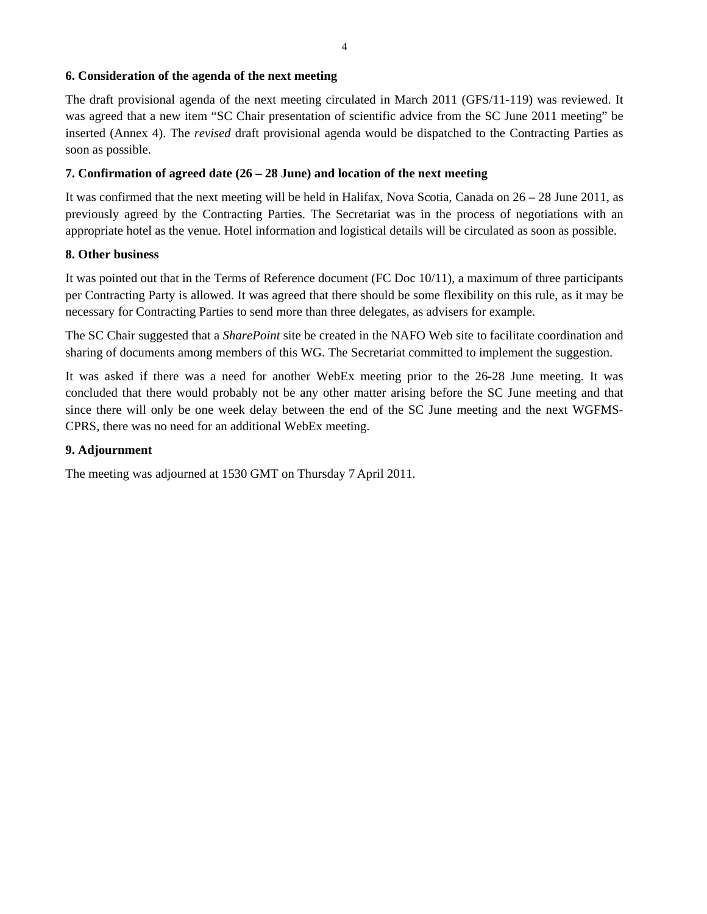# **6. Consideration of the agenda of the next meeting**

The draft provisional agenda of the next meeting circulated in March 2011 (GFS/11-119) was reviewed. It was agreed that a new item "SC Chair presentation of scientific advice from the SC June 2011 meeting" be inserted (Annex 4). The *revised* draft provisional agenda would be dispatched to the Contracting Parties as soon as possible.

# **7. Confirmation of agreed date (26 – 28 June) and location of the next meeting**

It was confirmed that the next meeting will be held in Halifax, Nova Scotia, Canada on  $26 - 28$  June 2011, as previously agreed by the Contracting Parties. The Secretariat was in the process of negotiations with an appropriate hotel as the venue. Hotel information and logistical details will be circulated as soon as possible.

# **8. Other business**

It was pointed out that in the Terms of Reference document (FC Doc 10/11), a maximum of three participants per Contracting Party is allowed. It was agreed that there should be some flexibility on this rule, as it may be necessary for Contracting Parties to send more than three delegates, as advisers for example.

The SC Chair suggested that a *SharePoint* site be created in the NAFO Web site to facilitate coordination and sharing of documents among members of this WG. The Secretariat committed to implement the suggestion.

It was asked if there was a need for another WebEx meeting prior to the 26-28 June meeting. It was concluded that there would probably not be any other matter arising before the SC June meeting and that since there will only be one week delay between the end of the SC June meeting and the next WGFMS-CPRS, there was no need for an additional WebEx meeting.

# **9. Adjournment**

The meeting was adjourned at 1530 GMT on Thursday 7 April 2011.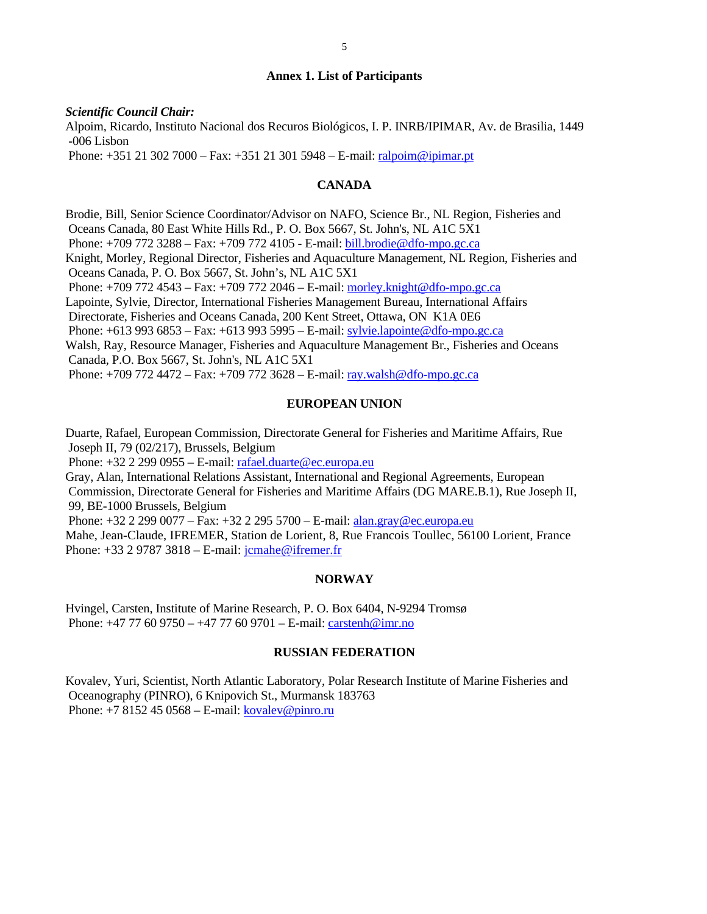#### **Annex 1. List of Participants**

*Scientific Council Chair:* 

Alpoim, Ricardo, Instituto Nacional dos Recuros Biológicos, I. P. INRB/IPIMAR, Av. de Brasilia, 1449 -006 Lisbon

Phone: +351 21 302 7000 – Fax: +351 21 301 5948 – E-mail: ralpoim@ipimar.pt

# **CANADA**

Brodie, Bill, Senior Science Coordinator/Advisor on NAFO, Science Br., NL Region, Fisheries and Oceans Canada, 80 East White Hills Rd., P. O. Box 5667, St. John's, NL A1C 5X1 Phone: +709 772 3288 – Fax: +709 772 4105 - E-mail: bill.brodie@dfo-mpo.gc.ca Knight, Morley, Regional Director, Fisheries and Aquaculture Management, NL Region, Fisheries and Oceans Canada, P. O. Box 5667, St. John's, NL A1C 5X1 Phone: +709 772 4543 – Fax: +709 772 2046 – E-mail: morley.knight@dfo-mpo.gc.ca Lapointe, Sylvie, Director, International Fisheries Management Bureau, International Affairs Directorate, Fisheries and Oceans Canada, 200 Kent Street, Ottawa, ON K1A 0E6 Phone: +613 993 6853 – Fax: +613 993 5995 – E-mail: sylvie.lapointe@dfo-mpo.gc.ca Walsh, Ray, Resource Manager, Fisheries and Aquaculture Management Br., Fisheries and Oceans Canada, P.O. Box 5667, St. John's, NL A1C 5X1 Phone: +709 772 4472 – Fax: +709 772 3628 – E-mail: ray.walsh@dfo-mpo.gc.ca

#### **EUROPEAN UNION**

Duarte, Rafael, European Commission, Directorate General for Fisheries and Maritime Affairs, Rue Joseph II, 79 (02/217), Brussels, Belgium

Phone: +32 2 299 0955 – E-mail: rafael.duarte@ec.europa.eu

Gray, Alan, International Relations Assistant, International and Regional Agreements, European Commission, Directorate General for Fisheries and Maritime Affairs (DG MARE.B.1), Rue Joseph II, 99, BE-1000 Brussels, Belgium

 Phone: +32 2 299 0077 – Fax: +32 2 295 5700 – E-mail: alan.gray@ec.europa.eu Mahe, Jean-Claude, IFREMER, Station de Lorient, 8, Rue Francois Toullec, 56100 Lorient, France

Phone: +33 2 9787 3818 – E-mail: jcmahe@ifremer.fr

#### **NORWAY**

Hvingel, Carsten, Institute of Marine Research, P. O. Box 6404, N-9294 Tromsø Phone: +47 77 60 9750 – +47 77 60 9701 – E-mail: carstenh@imr.no

#### **RUSSIAN FEDERATION**

Kovalev, Yuri, Scientist, North Atlantic Laboratory, Polar Research Institute of Marine Fisheries and Oceanography (PINRO), 6 Knipovich St., Murmansk 183763 Phone:  $+78152450568 -$ E-mail: kovalev@pinro.ru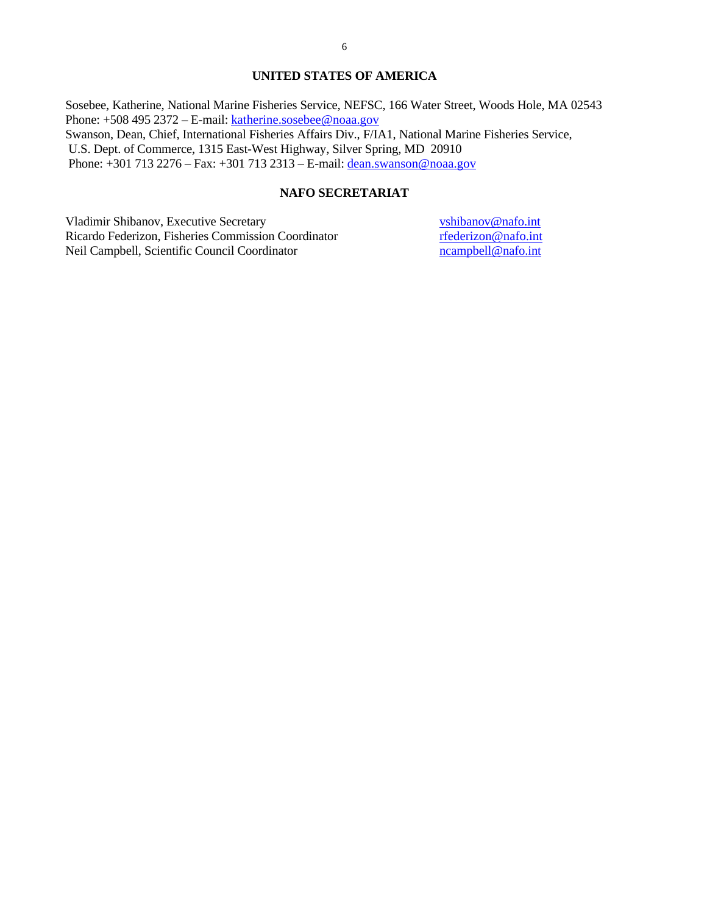#### **UNITED STATES OF AMERICA**

Sosebee, Katherine, National Marine Fisheries Service, NEFSC, 166 Water Street, Woods Hole, MA 02543 Phone: +508 495 2372 – E-mail: katherine.sosebee@noaa.gov Swanson, Dean, Chief, International Fisheries Affairs Div., F/IA1, National Marine Fisheries Service, U.S. Dept. of Commerce, 1315 East-West Highway, Silver Spring, MD 20910 Phone: +301 713 2276 – Fax: +301 713 2313 – E-mail: dean.swanson@noaa.gov

# **NAFO SECRETARIAT**

Vladimir Shibanov, Executive Secretary vshibanov@nafo.int Ricardo Federizon, Fisheries Commission Coordinator rfederizon@nafo.int Neil Campbell, Scientific Council Coordinator ncampbell@nafo.int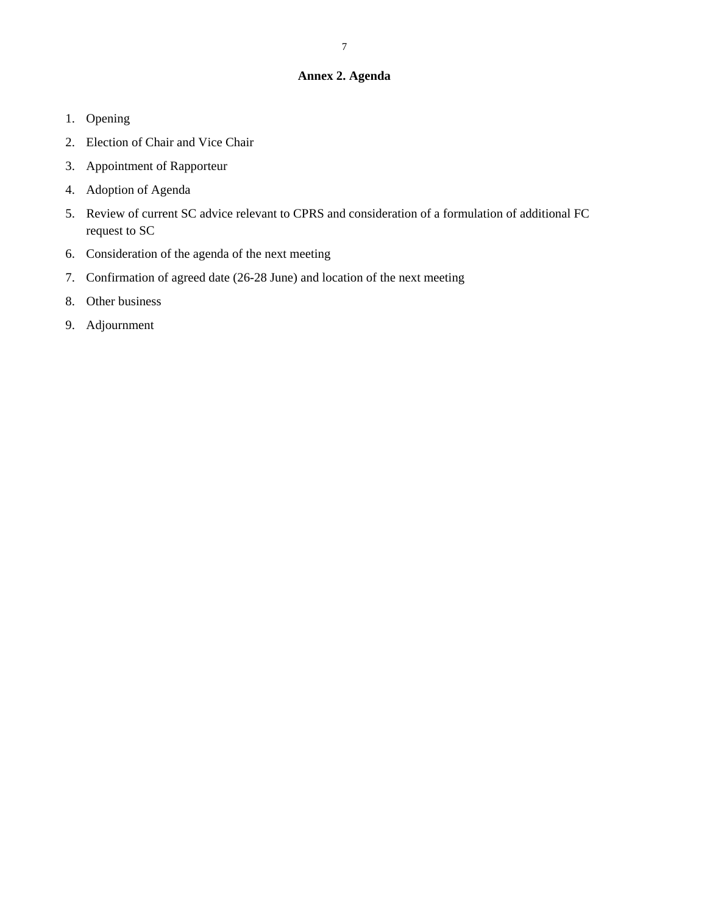# **Annex 2. Agenda**

- 1. Opening
- 2. Election of Chair and Vice Chair
- 3. Appointment of Rapporteur
- 4. Adoption of Agenda
- 5. Review of current SC advice relevant to CPRS and consideration of a formulation of additional FC request to SC
- 6. Consideration of the agenda of the next meeting
- 7. Confirmation of agreed date (26-28 June) and location of the next meeting
- 8. Other business
- 9. Adjournment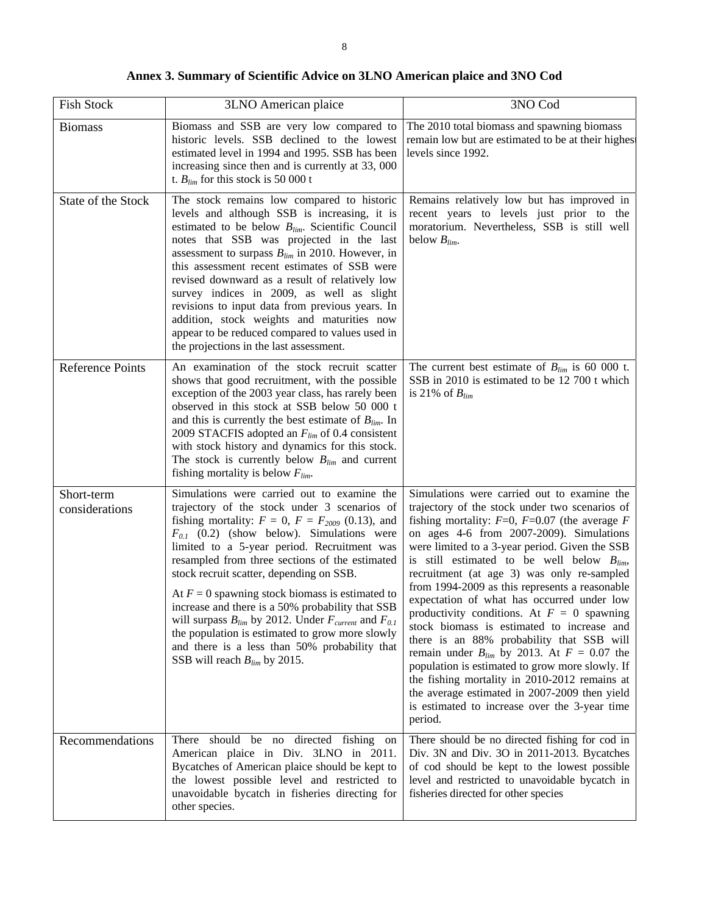| <b>Fish Stock</b>            | 3LNO American plaice                                                                                                                                                                                                                                                                                                                                                                                                                                                                                                                                                                                                                                                         | 3NO Cod                                                                                                                                                                                                                                                                                                                                                                                                                                                                                                                                                                                                                                                                                                                                                                                                                                                             |
|------------------------------|------------------------------------------------------------------------------------------------------------------------------------------------------------------------------------------------------------------------------------------------------------------------------------------------------------------------------------------------------------------------------------------------------------------------------------------------------------------------------------------------------------------------------------------------------------------------------------------------------------------------------------------------------------------------------|---------------------------------------------------------------------------------------------------------------------------------------------------------------------------------------------------------------------------------------------------------------------------------------------------------------------------------------------------------------------------------------------------------------------------------------------------------------------------------------------------------------------------------------------------------------------------------------------------------------------------------------------------------------------------------------------------------------------------------------------------------------------------------------------------------------------------------------------------------------------|
| <b>Biomass</b>               | Biomass and SSB are very low compared to<br>historic levels. SSB declined to the lowest<br>estimated level in 1994 and 1995. SSB has been<br>increasing since then and is currently at 33, 000<br>t. $B_{lim}$ for this stock is 50 000 t                                                                                                                                                                                                                                                                                                                                                                                                                                    | The 2010 total biomass and spawning biomass<br>remain low but are estimated to be at their highes<br>levels since 1992.                                                                                                                                                                                                                                                                                                                                                                                                                                                                                                                                                                                                                                                                                                                                             |
| State of the Stock           | The stock remains low compared to historic<br>levels and although SSB is increasing, it is<br>estimated to be below $B_{lim}$ . Scientific Council<br>notes that SSB was projected in the last<br>assessment to surpass $B_{lim}$ in 2010. However, in<br>this assessment recent estimates of SSB were<br>revised downward as a result of relatively low<br>survey indices in 2009, as well as slight<br>revisions to input data from previous years. In<br>addition, stock weights and maturities now<br>appear to be reduced compared to values used in<br>the projections in the last assessment.                                                                         | Remains relatively low but has improved in<br>recent years to levels just prior to the<br>moratorium. Nevertheless, SSB is still well<br>below $B_{lim}$ .                                                                                                                                                                                                                                                                                                                                                                                                                                                                                                                                                                                                                                                                                                          |
| <b>Reference Points</b>      | An examination of the stock recruit scatter<br>shows that good recruitment, with the possible<br>exception of the 2003 year class, has rarely been<br>observed in this stock at SSB below 50 000 t<br>and this is currently the best estimate of $B_{lim}$ . In<br>2009 STACFIS adopted an $F_{lim}$ of 0.4 consistent<br>with stock history and dynamics for this stock.<br>The stock is currently below $B_{lim}$ and current<br>fishing mortality is below $F_{lim}$ .                                                                                                                                                                                                    | The current best estimate of $B_{lim}$ is 60 000 t.<br>SSB in 2010 is estimated to be 12 700 t which<br>is 21% of $B_{lim}$                                                                                                                                                                                                                                                                                                                                                                                                                                                                                                                                                                                                                                                                                                                                         |
| Short-term<br>considerations | Simulations were carried out to examine the<br>trajectory of the stock under 3 scenarios of<br>fishing mortality: $F = 0$ , $F = F_{2009}$ (0.13), and<br>$F_{0,I}$ (0.2) (show below). Simulations were<br>limited to a 5-year period. Recruitment was<br>resampled from three sections of the estimated<br>stock recruit scatter, depending on SSB.<br>At $F = 0$ spawning stock biomass is estimated to<br>increase and there is a 50% probability that SSB<br>will surpass $B_{lim}$ by 2012. Under $F_{current}$ and $F_{0.1}$<br>the population is estimated to grow more slowly<br>and there is a less than 50% probability that<br>SSB will reach $B_{lim}$ by 2015. | Simulations were carried out to examine the<br>trajectory of the stock under two scenarios of<br>fishing mortality: $F=0$ , $F=0.07$ (the average F<br>on ages 4-6 from 2007-2009). Simulations<br>were limited to a 3-year period. Given the SSB<br>is still estimated to be well below $B_{lim}$ ,<br>recruitment (at age 3) was only re-sampled<br>from 1994-2009 as this represents a reasonable<br>expectation of what has occurred under low<br>productivity conditions. At $F = 0$ spawning<br>stock biomass is estimated to increase and<br>there is an 88% probability that SSB will<br>remain under $B_{lim}$ by 2013. At $F = 0.07$ the<br>population is estimated to grow more slowly. If<br>the fishing mortality in 2010-2012 remains at<br>the average estimated in 2007-2009 then yield<br>is estimated to increase over the 3-year time<br>period. |
| Recommendations              | should be no<br>directed fishing on<br>There<br>American plaice in Div. 3LNO in 2011.<br>Bycatches of American plaice should be kept to<br>the lowest possible level and restricted to<br>unavoidable bycatch in fisheries directing for<br>other species.                                                                                                                                                                                                                                                                                                                                                                                                                   | There should be no directed fishing for cod in<br>Div. 3N and Div. 3O in 2011-2013. Bycatches<br>of cod should be kept to the lowest possible<br>level and restricted to unavoidable bycatch in<br>fisheries directed for other species                                                                                                                                                                                                                                                                                                                                                                                                                                                                                                                                                                                                                             |

**Annex 3. Summary of Scientific Advice on 3LNO American plaice and 3NO Cod**